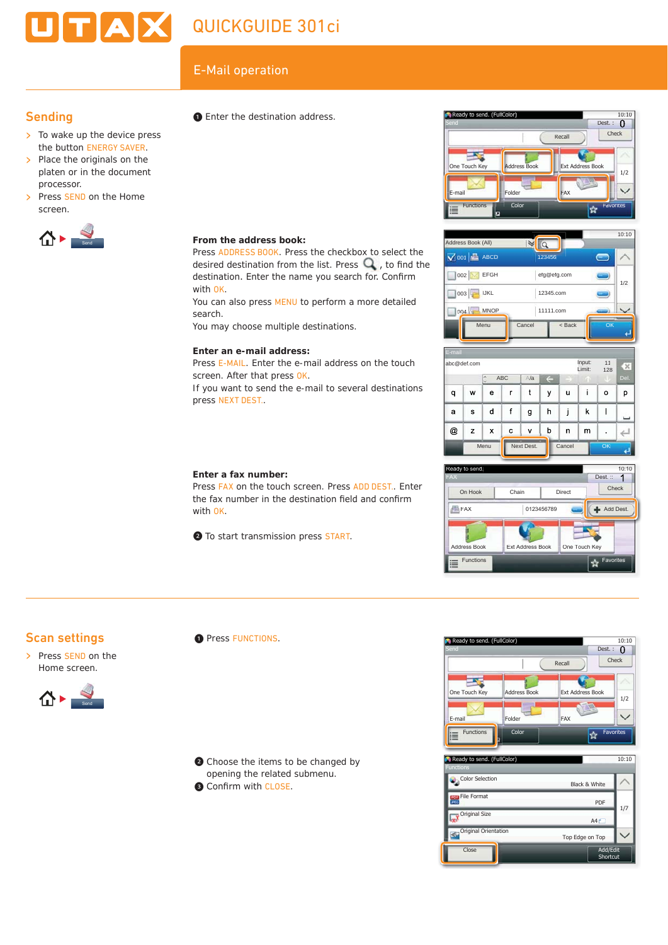# **JITIAIX** QUICKGUIDE 301ci

# $E$ -Mail operation<br>  $\bullet$  Enter the destination address  $\bullet$  Ready to send. (FullColor)

**From the address book:**

**Enter an e-mail address:**

screen. After that press OK.

press NEXT DEST..

**Enter a fax number:**

with OK.

with OK.

search.

Press ADDRESS BOOK. Press the checkbox to select the desired destination from the list. Press  $\mathbf Q$ , to find the destination. Enter the name you search for. Confirm

You can also press MENU to perform a more detailed

Press E-MAIL. Enter the e-mail address on the touch

If you want to send the e-mail to several destinations

Press FAX on the touch screen. Press ADD DEST.. Enter the fax number in the destination field and confirm

You may choose multiple destinations.

❷ To start transmission press START.

## **Sending**

- $\geq$  To wake up the device press the button ENERGY SAVER.
- > Place the originals on the platen or in the document processor.
- > Press SEND on the Home screen.



❶ Enter the destination address.









## Scan settings

> Press SEND on the Home screen.



**O** Press FUNCTIONS.

❷ Choose the items to be changed by opening the related submenu. **B** Confirm with CLOSE.



| Ready to send. (FullColor)<br><b>Functions</b> |                      | 10:10 |
|------------------------------------------------|----------------------|-------|
| Color Selection                                | Black & White        |       |
| <b>File Format</b><br>२०६<br>व्हर              | PDF                  | 1/7   |
| Original Size                                  | A4                   |       |
| Original Orientation                           | Top Edge on Top      |       |
| Close                                          | Add/Edit<br>Shortcut |       |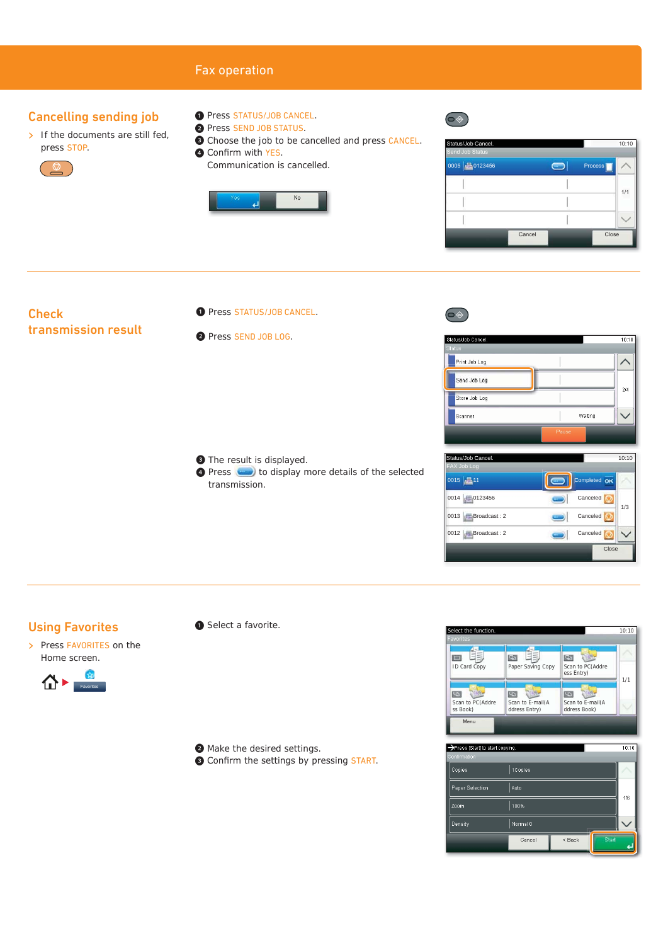## Fax operation

#### Cancelling sending job

- $\triangleright$  If the documents are still fed, press STOP.
	-
- ❶ Press STATUS/JOB CANCEL.
- ❷ Press SEND JOB STATUS.
- ❸ Choose the job to be cancelled and press CANCEL.
- **4 Confirm with YES.** Communication is cancelled.



| Status/Job Cancel.<br>Send Job Status |        |         | 10:10 |  |
|---------------------------------------|--------|---------|-------|--|
| 0005 20123456                         |        | Process |       |  |
|                                       |        |         |       |  |
|                                       |        |         | 1/1   |  |
|                                       |        |         |       |  |
|                                       | Cancel | Close   |       |  |

#### **Check** transmission result

- O Press STATUS/JOB CANCEL.
- ❷ Press SEND JOB LOG.

❸ The result is displayed. **O** Press **to display more details of the selected** transmission.



 $\circledcirc$ 



| Status/Job Cancel.  | 10:10           |
|---------------------|-----------------|
| <b>FAX Job Log</b>  |                 |
| $0015$ $\sqrt{211}$ | Completed OK    |
| 0014 0123456        | Canceled<br>1/3 |
| 0013 Broadcast: 2   | Canceled        |
| 0012 Broadcast: 2   | Canceled        |
|                     | Close           |

#### Using Favorites

> Press FAVORITES on the Home screen.



❶ Select a favorite.

❷ Make the desired settings.

<sup>O</sup> Confirm the settings by pressing START.



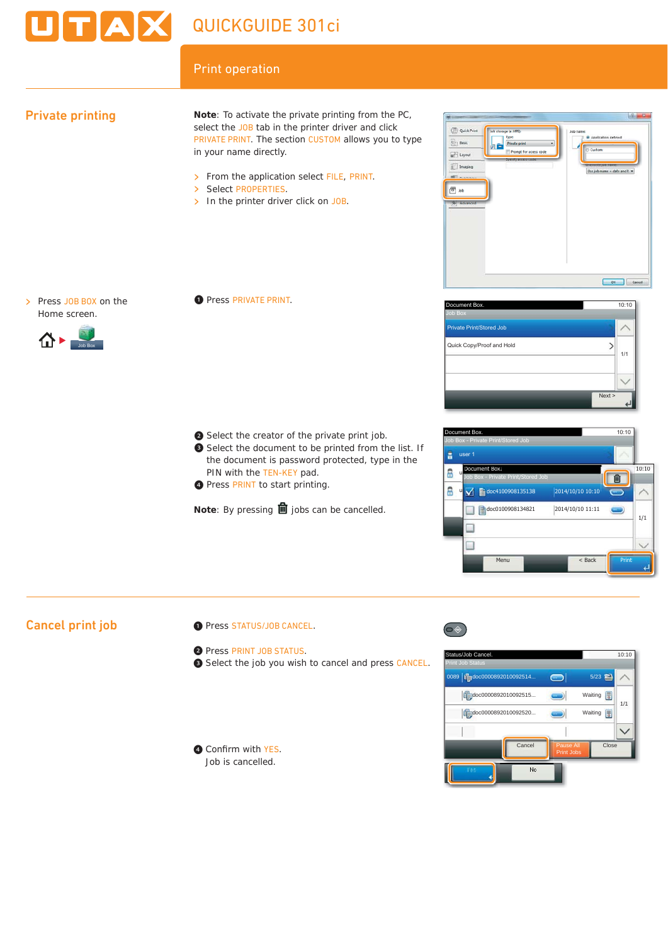# **TAX** QUICKGUIDE 301ci

# Print operation

# Private printing

**Note**: To activate the private printing from the PC, select the JOB tab in the printer driver and click PRIVATE PRINT. The section CUSTOM allows you to type in your name directly.

- > From the application select FILE, PRINT.<br>> Select PROPERTIES.
- Select PROPERTIES.
- $\triangleright$  In the printer driver click on JOB.

> Press JOB BOX on the Home screen.



❶ Press PRIVATE PRINT.

- ❷ Select the creator of the private print job.
- ❸ Select the document to be printed from the list. If the document is password protected, type in the PIN with the TEN-KEY pad. O Select the creator of the private print job.<br>
O Select the document to be printed from the list. If<br>
the document is password protected, type in the<br>
PIN with the TEN-KEY pad.<br>
O Press PRINT to start printing.
	- **O** Press PRINT to start printing.

**Note:** By pressing **ii** jobs can be cancelled.



| Document Box.                   | 10:10 |
|---------------------------------|-------|
| Job Box                         |       |
| <b>Private Print/Stored Job</b> |       |
| Quick Copy/Proof and Hold       | 1/1   |
| Next >                          |       |
|                                 |       |



# Cancel print job

- ❶ Press STATUS/JOB CANCEL.
- ❷ Press PRINT JOB STATUS.
- ❸ Select the job you wish to cancel and press CANCEL.